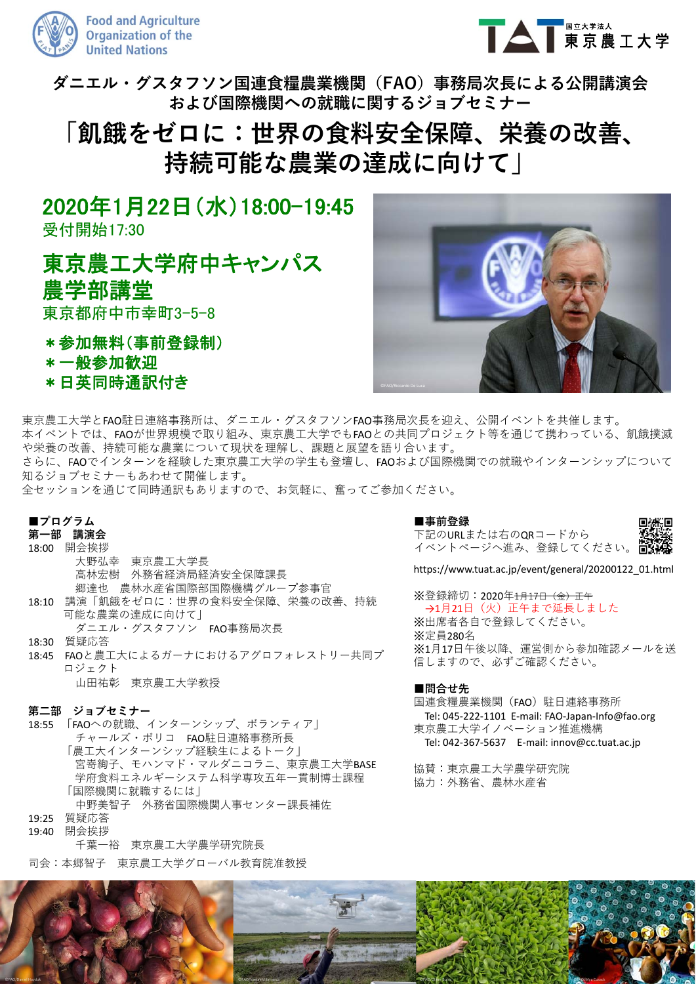



**ダニエル・グスタフソン国連⾷糧農業機関(FAO)事務局次⻑による公開講演会 および国際機関への就職に関するジョブセミナー**

# **「飢餓をゼロに:世界の⾷料安全保障、栄養の改善、 持続可能な農業の達成に向けて」**

2020年1月22日(水)18:00-19:45

受付開始17:30

東京農工大学府中キャンパス 農学部講堂 東京都府中市幸町3-5-8

- \*参加無料(事前登録制)
- \*一般参加歓迎
- \*日英同時通訳付き



東京農工大学とFAO駐日連絡事務所は、ダニエル・グスタフソンFAO事務局次長を迎え、公開イベントを共催します。 本イベントでは、FAOが世界規模で取り組み、東京農⼯⼤学でもFAOとの共同プロジェクト等を通じて携わっている、飢餓撲滅 や栄養の改善、持続可能な農業について現状を理解し、課題と展望を語り合います。

さらに、FAOでインターンを経験した東京農⼯⼤学の学⽣も登壇し、FAOおよび国際機関での就職やインターンシップについて 知るジョブセミナーもあわせて開催します。

全セッションを通じて同時通訳もありますので、お気軽に、奮ってご参加ください。

## **■プログラム**

## **第⼀部 講演会**

- 18:00 開会挨拶
- 大野弘幸 東京農工大学長 高林宏樹 外務省経済局経済安全保障課長 郷達也 農林⽔産省国際部国際機構グループ参事官 18:10 講演「飢餓をゼロに:世界の⾷料安全保障、栄養の改善、持続 可能な農業の達成に向けて」 ダニエル・グスタフソン FAO事務局次長
- 18:30 質疑応答 18:45 FAOと農⼯⼤によるガーナにおけるアグロフォレストリー共同プ
- ロジェクト 山田祐彰 東京農工大学教授

### **第⼆部 ジョブセミナー**

18:55 「FAOへの就職、インターンシップ、ボランティア」 チャールズ・ボリコ FAO駐日連絡事務所長 「農⼯⼤インターンシップ経験⽣によるトーク」 宮嵜絢子、モハンマド・マルダニコラニ、東京農工大学BASE 学府食料エネルギーシステム科学専攻五年一貫制博士課程 「国際機関に就職するには」 中野美智子 外務省国際機関人事センター課長補佐

- 19:25 質疑応答
- 19:40 閉会挨拶 千葉一裕 東京農工大学農学研究院長
- 司会:本郷智子 東京農工大学グローバル教育院准教授

### **■事前登録** 下記のURLまたは右のQRコードから



https://www.tuat.ac.jp/event/general/20200122\_01.html

※登録締切: 2020年<del>1月17日 (金)正午</del> →1月21日 (火) 正午まで延長しました ※出席者各自で登録してください。 ※定員280名 ※1月17日午後以降、運営側から参加確認メールを送 信しますので、必ずご確認ください。

### **■問合せ先**

国連食糧農業機関(FAO) 駐日連絡事務所 Tel: 045‐222‐1101 E‐mail: FAO‐Japan‐Info@fao.org 東京農⼯⼤学イノベーション推進機構 Tel: 042‐367‐5637 E‐mail: innov@cc.tuat.ac.jp

協賛:東京農⼯⼤学農学研究院 協力:外務省、農林水産省